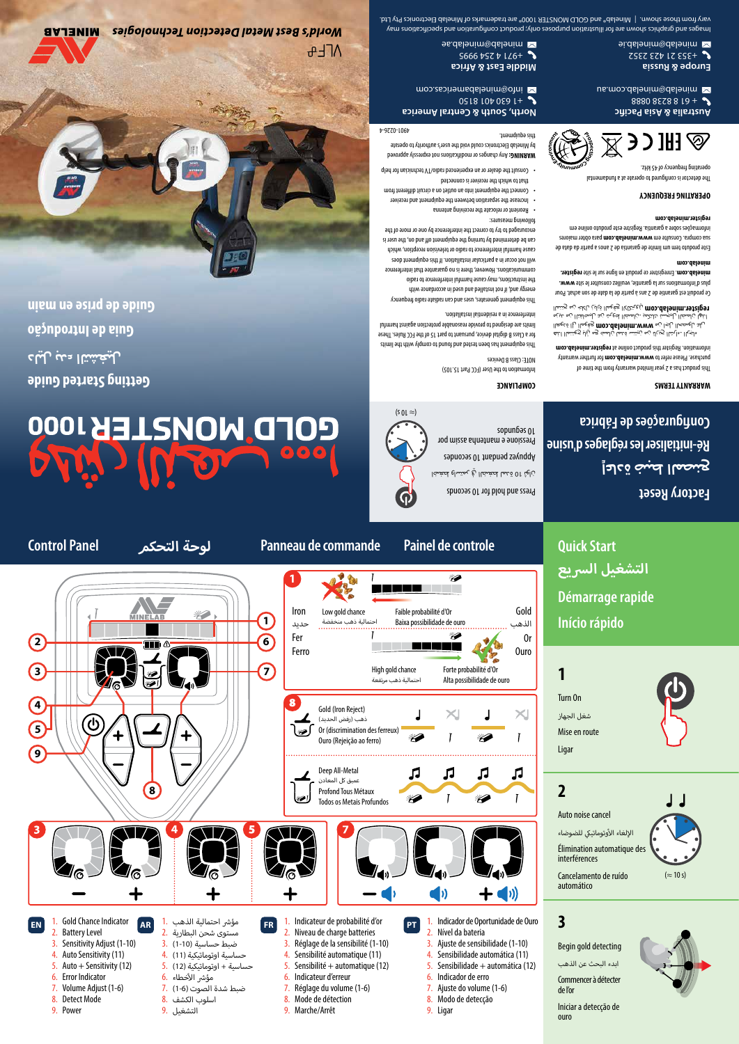

**Control Panel التحكم لوحة Panneau de commande Painel de controle**

## D MONSTER 1000

**Getting Started Guide دليل بدء التشغيل Guia de Introdução**

**Guide de prise en main**

**MINELAB** 



World's Best Metal Detection Technologies  $\Lambda$ F+

Images and graphics shown are for illustration purposes only; product configuration and specifications may Winelab Electronics Pty Lime ® and GOLD MONSTER 1000® are trademarks of Minelab Electronics Pty Ltd.

> **Europe & Russia** +353 21 423 2352 minelab@minelab.ie **Middle East & Africa**

+971 4 254 9995 minelab@minelab.ae

## **Factory Reset Configurações de Fábrica Ré-initialiser les réglages d'usine إعادة ضبط المصنع**

 $(z \approx 10 s)$ 

**3**

**1**

**2**

Auto noise cancel

interférences Cancelamento de ruído automático

أالإلغاء الأوتوماتيكي للضوضاء Élimination automatique des

Turn On شغل الجهاز Mise en route Ligar

**Quick Start**

**Início rápido**

**Démarrage rapide**

**التشغيل الرسيع**

ouro

Begin gold detecting ابدء البحث عن الذهب Commencer à détecter de l'or

Iniciar a detecção de

## **COMPLIANCE**

sopunɓəs 01

Press and hold for 10 seconds ناله 01 ة مما لمغضاا رهٍ لمتساهِ لمغضا Appuyez pendant 10 secondes Pressione e mantenha assim por

Information to the User (FCC Part 15.105)

NOTE: Class B Devices This equipment has been to the tested and to comply with the limits for a Class B digital device, pursuant to part 15 of the FCC Rules. These limits are designed to provide reasonable protection against harmful

 $(501 \approx)$ 

interference in a residential installation. This equipment generates, uses and can radiate radio frequency energy and, if not installed and used in accordance with the instructions, may cause harmful interference to radio communications. However, there is no guarantee that interference will not occur in a particular installation. If this equipment does cause harmful interference to radio or television reception, which

can be determined by turning the equipment off and on, the user is encouraged to try to correct the interference by one or more of the

- following measures: Reorient or relocate the receiving antenna • Increase the separation between the equipment and receiver •
- Connect the equipment into an outlet on a circuit different from that to which the receiver is connected
- Consult the dealer or an experienced radio/TV technician for help •

Any changes or modifications not expressly approved **WARNING:**

by Minelab Electronics could void the user's authority to operate this equipment.

4901-0226-4

**North, South & Central America** +1 630 401 8150

info@minelabamericas.com

This product has a 2 year limited warranty from the time of for further warranty **www.minelab.com** purchase. Please refer to mon.dalenim.neizer.hine at information.htm دلجها! .دارشا! رحيها نهم نيتنس مَنما نِالمن وم ريَاكِ وعِتنما! انفه ل لد رامحصال راجا زن**ه mob.dslenim.www حي**ل رايا قان العودة العالية الصمان<br>النوا ن لمحال اليجستا تلنكم<u>ي</u> ن لمحال له عن ثد رايبحافتال زنه عربيه المني *على العادة العام*دوmoɔ.dslənim.<br>المؤلفة الموقع الرياضي الموقع الرياضي الكلك تم <sub>ت</sub>حتنما ا Ce produit est garantie de 2 ans à partir de la date de son achat. Pour plus d'informations sur la garantie, veuillez consulter le site **www.** 

**register.** . Enregistrer ce produit en ligne sur le site **minelab.com**

**minelab.com**

Este produto tem um limite de garantia de 2 anos a partir da data de para obter maiores **www.minelab.com** sua compra. Consulte em informações sobre a garantia. Registre este produto online em

**register.minelab.com**

**WARRANTY TERMS**

**OPERATING FREQUENCY**

The detector is configured to operate at a fundamental operating frequency of 45 kHz.



**Australia & Asia Pacific**  + 61 8 8238 0888

minelab@minelab.com.au